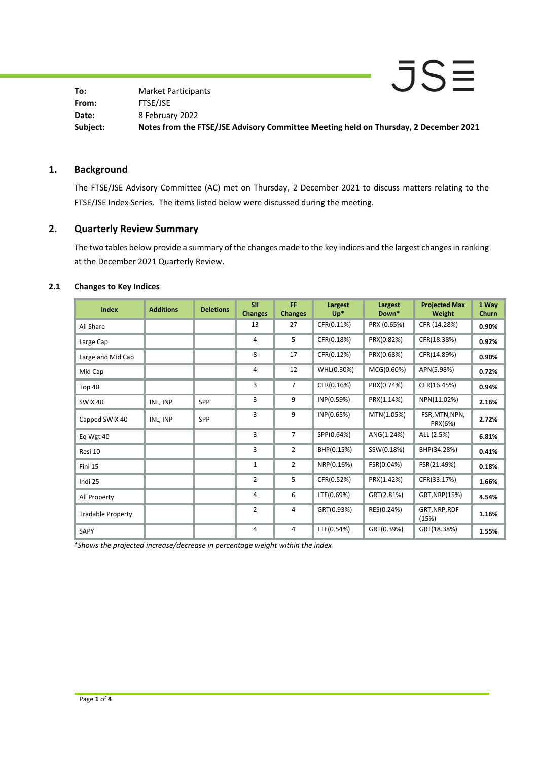JSE **To:** Market Participants **From:** FTSE/JSE **Date:** 8 February 2022 **Subject: Notes from the FTSE/JSE Advisory Committee Meeting held on Thursday, 2 December 2021**

## **1. Background**

The FTSE/JSE Advisory Committee (AC) met on Thursday, 2 December 2021 to discuss matters relating to the FTSE/JSE Index Series. The items listed below were discussed during the meeting.

# **2. Quarterly Review Summary**

The two tables below provide a summary of the changes made to the key indices and the largest changes in ranking at the December 2021 Quarterly Review.

### **2.1 Changes to Key Indices**

| <b>Index</b>             | <b>Additions</b> | <b>Deletions</b> | <b>SII</b><br><b>Changes</b> | FF<br><b>Changes</b> | Largest<br>$Up^*$ | Largest<br>Down* | <b>Projected Max</b><br>Weight | 1 Way<br>Churn |
|--------------------------|------------------|------------------|------------------------------|----------------------|-------------------|------------------|--------------------------------|----------------|
| All Share                |                  |                  | 13                           | 27                   | CFR(0.11%)        | PRX (0.65%)      | CFR (14.28%)                   | 0.90%          |
| Large Cap                |                  |                  | 4                            | 5                    | CFR(0.18%)        | PRX(0.82%)       | CFR(18.38%)                    | 0.92%          |
| Large and Mid Cap        |                  |                  | 8                            | 17                   | CFR(0.12%)        | PRX(0.68%)       | CFR(14.89%)                    | 0.90%          |
| Mid Cap                  |                  |                  | 4                            | 12                   | WHL(0.30%)        | MCG(0.60%)       | APN(5.98%)                     | 0.72%          |
| Top 40                   |                  |                  | 3                            | $\overline{7}$       | CFR(0.16%)        | PRX(0.74%)       | CFR(16.45%)                    | 0.94%          |
| <b>SWIX 40</b>           | INL, INP         | <b>SPP</b>       | 3                            | 9                    | INP(0.59%)        | PRX(1.14%)       | NPN(11.02%)                    | 2.16%          |
| Capped SWIX 40           | INL, INP         | SPP              | 3                            | 9                    | INP(0.65%)        | MTN(1.05%)       | FSR, MTN, NPN,<br>PRX(6%)      | 2.72%          |
| Eq Wgt 40                |                  |                  | 3                            | $\overline{7}$       | SPP(0.64%)        | ANG(1.24%)       | ALL (2.5%)                     | 6.81%          |
| Resi 10                  |                  |                  | 3                            | 2                    | BHP(0.15%)        | SSW(0.18%)       | BHP(34.28%)                    | 0.41%          |
| Fini 15                  |                  |                  | $\mathbf 1$                  | $\overline{2}$       | NRP(0.16%)        | FSR(0.04%)       | FSR(21.49%)                    | 0.18%          |
| Indi 25                  |                  |                  | $\overline{2}$               | 5                    | CFR(0.52%)        | PRX(1.42%)       | CFR(33.17%)                    | 1.66%          |
| All Property             |                  |                  | 4                            | 6                    | LTE(0.69%)        | GRT(2.81%)       | GRT, NRP(15%)                  | 4.54%          |
| <b>Tradable Property</b> |                  |                  | $\overline{2}$               | 4                    | GRT(0.93%)        | RES(0.24%)       | GRT, NRP, RDF<br>(15%)         | 1.16%          |
| SAPY                     |                  |                  | $\overline{4}$               | 4                    | LTE(0.54%)        | GRT(0.39%)       | GRT(18.38%)                    | 1.55%          |

*\*Shows the projected increase/decrease in percentage weight within the index*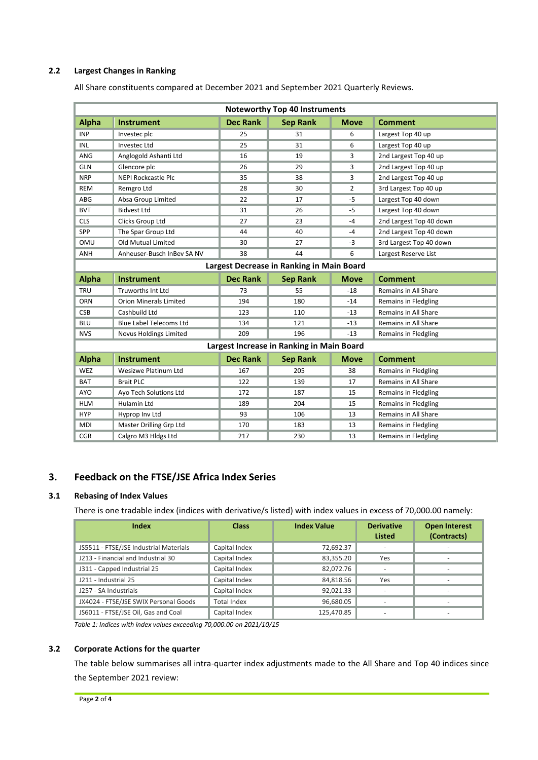### **2.2 Largest Changes in Ranking**

All Share constituents compared at December 2021 and September 2021 Quarterly Reviews.

| <b>Noteworthy Top 40 Instruments</b>      |                                |                 |                 |                |                         |  |
|-------------------------------------------|--------------------------------|-----------------|-----------------|----------------|-------------------------|--|
| <b>Alpha</b>                              | Instrument                     | <b>Dec Rank</b> | <b>Sep Rank</b> | <b>Move</b>    | <b>Comment</b>          |  |
| <b>INP</b>                                | Investec plc                   | 25              | 31              | 6              | Largest Top 40 up       |  |
| INL                                       | Investec Ltd                   | 25              | 31              | 6              | Largest Top 40 up       |  |
| ANG                                       | Anglogold Ashanti Ltd          | 16              | 19              | 3              | 2nd Largest Top 40 up   |  |
| <b>GLN</b>                                | Glencore plc                   | 26              | 29              | 3              | 2nd Largest Top 40 up   |  |
| <b>NRP</b>                                | <b>NEPI Rockcastle Plc</b>     | 35              | 38              | 3              | 2nd Largest Top 40 up   |  |
| <b>REM</b>                                | Remgro Ltd                     | 28              | 30              | $\overline{2}$ | 3rd Largest Top 40 up   |  |
| ABG                                       | Absa Group Limited             | 22              | 17              | $-5$           | Largest Top 40 down     |  |
| <b>BVT</b>                                | <b>Bidvest Ltd</b>             | 31              | 26              | $-5$           | Largest Top 40 down     |  |
| <b>CLS</b>                                | Clicks Group Ltd               | 27              | 23              | $-4$           | 2nd Largest Top 40 down |  |
| SPP                                       | The Spar Group Ltd             | 44              | 40              | $-4$           | 2nd Largest Top 40 down |  |
| OMU                                       | Old Mutual Limited             | 30              | 27              | -3             | 3rd Largest Top 40 down |  |
| ANH                                       | Anheuser-Busch InBev SA NV     | 38              | 44              | 6              | Largest Reserve List    |  |
| Largest Decrease in Ranking in Main Board |                                |                 |                 |                |                         |  |
| <b>Alpha</b>                              | <b>Instrument</b>              | <b>Dec Rank</b> | <b>Sep Rank</b> | <b>Move</b>    | <b>Comment</b>          |  |
| <b>TRU</b>                                | <b>Truworths Int Ltd</b>       | 73              | 55              | $-18$          | Remains in All Share    |  |
| ORN                                       | <b>Orion Minerals Limited</b>  | 194             | 180             | $-14$          | Remains in Fledgling    |  |
| <b>CSB</b>                                | Cashbuild Ltd                  | 123             | 110             | $-13$          | Remains in All Share    |  |
| <b>BLU</b>                                | <b>Blue Label Telecoms Ltd</b> | 134             | 121             | $-13$          | Remains in All Share    |  |
| <b>NVS</b>                                | <b>Novus Holdings Limited</b>  | 209             | 196             | $-13$          | Remains in Fledgling    |  |
| Largest Increase in Ranking in Main Board |                                |                 |                 |                |                         |  |
| <b>Alpha</b>                              | <b>Instrument</b>              | <b>Dec Rank</b> | <b>Sep Rank</b> | <b>Move</b>    | <b>Comment</b>          |  |
| WEZ                                       | <b>Wesizwe Platinum Ltd</b>    | 167             | 205             | 38             | Remains in Fledgling    |  |
| <b>BAT</b>                                | <b>Brait PLC</b>               | 122             | 139             | 17             | Remains in All Share    |  |
| <b>AYO</b>                                | Ayo Tech Solutions Ltd         | 172             | 187             | 15             | Remains in Fledgling    |  |
| <b>HLM</b>                                | <b>Hulamin Ltd</b>             | 189             | 204             | 15             | Remains in Fledgling    |  |
| <b>HYP</b>                                | Hyprop Inv Ltd                 | 93              | 106             | 13             | Remains in All Share    |  |
| <b>MDI</b>                                | Master Drilling Grp Ltd        | 170             | 183             | 13             | Remains in Fledgling    |  |
| <b>CGR</b>                                | Calgro M3 Hldgs Ltd            | 217             | 230             | 13             | Remains in Fledgling    |  |

# **3. Feedback on the FTSE/JSE Africa Index Series**

#### **3.1 Rebasing of Index Values**

There is one tradable index (indices with derivative/s listed) with index values in excess of 70,000.00 namely:

| Index                                  | <b>Class</b>       | <b>Index Value</b> | <b>Derivative</b><br><b>Listed</b> | <b>Open Interest</b><br>(Contracts) |
|----------------------------------------|--------------------|--------------------|------------------------------------|-------------------------------------|
| JS5511 - FTSE/JSE Industrial Materials | Capital Index      | 72,692.37          | ٠                                  | ٠                                   |
| J213 - Financial and Industrial 30     | Capital Index      | 83,355.20          | Yes                                | -                                   |
| J311 - Capped Industrial 25            | Capital Index      | 82,072.76          | $\overline{\phantom{a}}$           | $\overline{\phantom{a}}$            |
| J211 - Industrial 25                   | Capital Index      | 84,818.56          | Yes                                | $\overline{\phantom{a}}$            |
| J257 - SA Industrials                  | Capital Index      | 92,021.33          |                                    |                                     |
| JX4024 - FTSE/JSE SWIX Personal Goods  | <b>Total Index</b> | 96,680.05          |                                    | $\overline{\phantom{a}}$            |
| JS6011 - FTSE/JSE Oil, Gas and Coal    | Capital Index      | 125,470.85         | $\overline{\phantom{a}}$           | ۰                                   |

*Table 1: Indices with index values exceeding 70,000.00 on 2021/10/15*

#### **3.2 Corporate Actions for the quarter**

The table below summarises all intra-quarter index adjustments made to the All Share and Top 40 indices since the September 2021 review: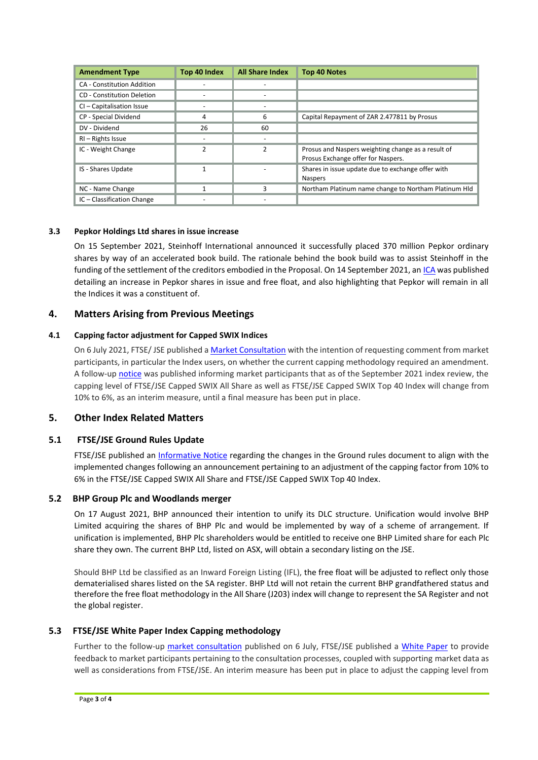| <b>Amendment Type</b>             | Top 40 Index | <b>All Share Index</b> | <b>Top 40 Notes</b>                                                                      |
|-----------------------------------|--------------|------------------------|------------------------------------------------------------------------------------------|
| <b>CA - Constitution Addition</b> |              |                        |                                                                                          |
| CD - Constitution Deletion        |              |                        |                                                                                          |
| CI - Capitalisation Issue         |              |                        |                                                                                          |
| CP - Special Dividend             | 4            | 6                      | Capital Repayment of ZAR 2.477811 by Prosus                                              |
| DV - Dividend                     | 26           | 60                     |                                                                                          |
| RI - Rights Issue                 |              |                        |                                                                                          |
| IC - Weight Change                | 2            | 2                      | Prosus and Naspers weighting change as a result of<br>Prosus Exchange offer for Naspers. |
| IS - Shares Update                |              |                        | Shares in issue update due to exchange offer with<br><b>Naspers</b>                      |
| NC - Name Change                  |              |                        | Northam Platinum name change to Northam Platinum Hld                                     |
| IC - Classification Change        |              |                        |                                                                                          |

### **3.3 Pepkor Holdings Ltd shares in issue increase**

On 15 September 2021, Steinhoff International announced it successfully placed 370 million Pepkor ordinary shares by way of an accelerated book build. The rationale behind the book build was to assist Steinhoff in the funding of the settlement of the creditors embodied in the Proposal. On 14 September 2021, a[n ICA](https://clientportal.jse.co.za/Content/ICANoticeItems/FTSE-JSE-Africa/20210920%20Pepkor%20Holdings%20Free%20Float%20Update.pdf) was published detailing an increase in Pepkor shares in issue and free float, and also highlighting that Pepkor will remain in all the Indices it was a constituent of.

## **4. Matters Arising from Previous Meetings**

### **4.1 Capping factor adjustment for Capped SWIX Indices**

On 6 July 2021, FTSE/ JSE published [a Market Consultation](https://clientportal.jse.co.za/Content/ICANoticeItems/FTSE-JSE-Africa/20210720%20Market%20Consultation%20Naspers%20Prosus%20Capping%20UPDATED.pdf) with the intention of requesting comment from market participants, in particular the Index users, on whether the current capping methodology required an amendment. A follow-u[p notice](https://clientportal.jse.co.za/Content/ICANoticeItems/FTSE-JSE-Africa/20210820%20Market%20Consultation%20Capping%20Factor%20Adjustment%20for%20Capped%20SWIX%20Indices.pdf) was published informing market participants that as of the September 2021 index review, the capping level of FTSE/JSE Capped SWIX All Share as well as FTSE/JSE Capped SWIX Top 40 Index will change from 10% to 6%, as an interim measure, until a final measure has been put in place.

## **5. Other Index Related Matters**

## **5.1 FTSE/JSE Ground Rules Update**

FTSE/JSE published an [Informative Notice](https://clientportal.jse.co.za/Content/ICANoticeItems/FTSE-JSE-Africa/20210827%20FTSE%20JSE%20Africa%20Index%20Series%20Ground%20Rule%20Updates.pdf) regarding the changes in the Ground rules document to align with the implemented changes following an announcement pertaining to an adjustment of the capping factor from 10% to 6% in the FTSE/JSE Capped SWIX All Share and FTSE/JSE Capped SWIX Top 40 Index.

#### **5.2 BHP Group Plc and Woodlands merger**

On 17 August 2021, BHP announced their intention to unify its DLC structure. Unification would involve BHP Limited acquiring the shares of BHP Plc and would be implemented by way of a scheme of arrangement. If unification is implemented, BHP Plc shareholders would be entitled to receive one BHP Limited share for each Plc share they own. The current BHP Ltd, listed on ASX, will obtain a secondary listing on the JSE.

Should BHP Ltd be classified as an Inward Foreign Listing (IFL), the free float will be adjusted to reflect only those dematerialised shares listed on the SA register. BHP Ltd will not retain the current BHP grandfathered status and therefore the free float methodology in the All Share (J203) index will change to represent the SA Register and not the global register.

## **5.3 FTSE/JSE White Paper Index Capping methodology**

Further to the follow-up [market consultation](https://clientportal.jse.co.za/Content/ICANoticeItems/FTSE-JSE-Africa/20210720%20Market%20Consultation%20Naspers%20Prosus%20Capping%20UPDATED.pdf) published on 6 July, FTSE/JSE published a [White Paper](https://clientportal.jse.co.za/Content/ICANoticeItems/FTSE-JSE-Africa/20210831%20White%20Paper%20Index%20Capping%20Methodology.pdf) to provide feedback to market participants pertaining to the consultation processes, coupled with supporting market data as well as considerations from FTSE/JSE. An interim measure has been put in place to adjust the capping level from